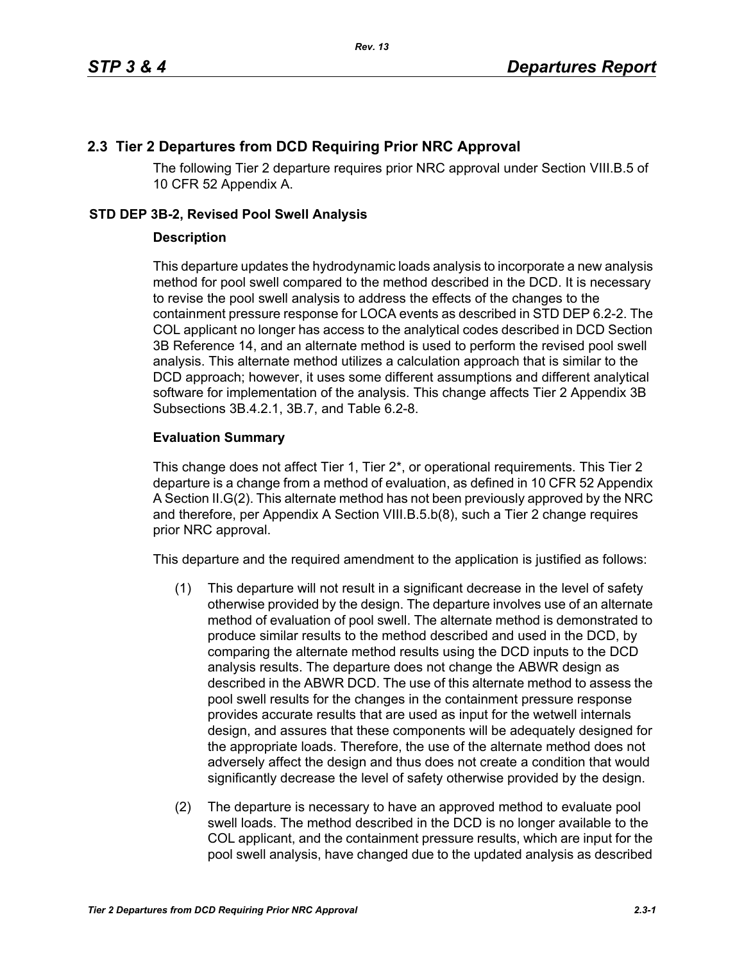## **2.3 Tier 2 Departures from DCD Requiring Prior NRC Approval**

The following Tier 2 departure requires prior NRC approval under Section VIII.B.5 of 10 CFR 52 Appendix A.

## **STD DEP 3B-2, Revised Pool Swell Analysis**

## **Description**

This departure updates the hydrodynamic loads analysis to incorporate a new analysis method for pool swell compared to the method described in the DCD. It is necessary to revise the pool swell analysis to address the effects of the changes to the containment pressure response for LOCA events as described in STD DEP 6.2-2. The COL applicant no longer has access to the analytical codes described in DCD Section 3B Reference 14, and an alternate method is used to perform the revised pool swell analysis. This alternate method utilizes a calculation approach that is similar to the DCD approach; however, it uses some different assumptions and different analytical software for implementation of the analysis. This change affects Tier 2 Appendix 3B Subsections 3B.4.2.1, 3B.7, and Table 6.2-8.

## **Evaluation Summary**

This change does not affect Tier 1, Tier 2\*, or operational requirements. This Tier 2 departure is a change from a method of evaluation, as defined in 10 CFR 52 Appendix A Section II.G(2). This alternate method has not been previously approved by the NRC and therefore, per Appendix A Section VIII.B.5.b(8), such a Tier 2 change requires prior NRC approval.

This departure and the required amendment to the application is justified as follows:

- (1) This departure will not result in a significant decrease in the level of safety otherwise provided by the design. The departure involves use of an alternate method of evaluation of pool swell. The alternate method is demonstrated to produce similar results to the method described and used in the DCD, by comparing the alternate method results using the DCD inputs to the DCD analysis results. The departure does not change the ABWR design as described in the ABWR DCD. The use of this alternate method to assess the pool swell results for the changes in the containment pressure response provides accurate results that are used as input for the wetwell internals design, and assures that these components will be adequately designed for the appropriate loads. Therefore, the use of the alternate method does not adversely affect the design and thus does not create a condition that would significantly decrease the level of safety otherwise provided by the design.
- (2) The departure is necessary to have an approved method to evaluate pool swell loads. The method described in the DCD is no longer available to the COL applicant, and the containment pressure results, which are input for the pool swell analysis, have changed due to the updated analysis as described